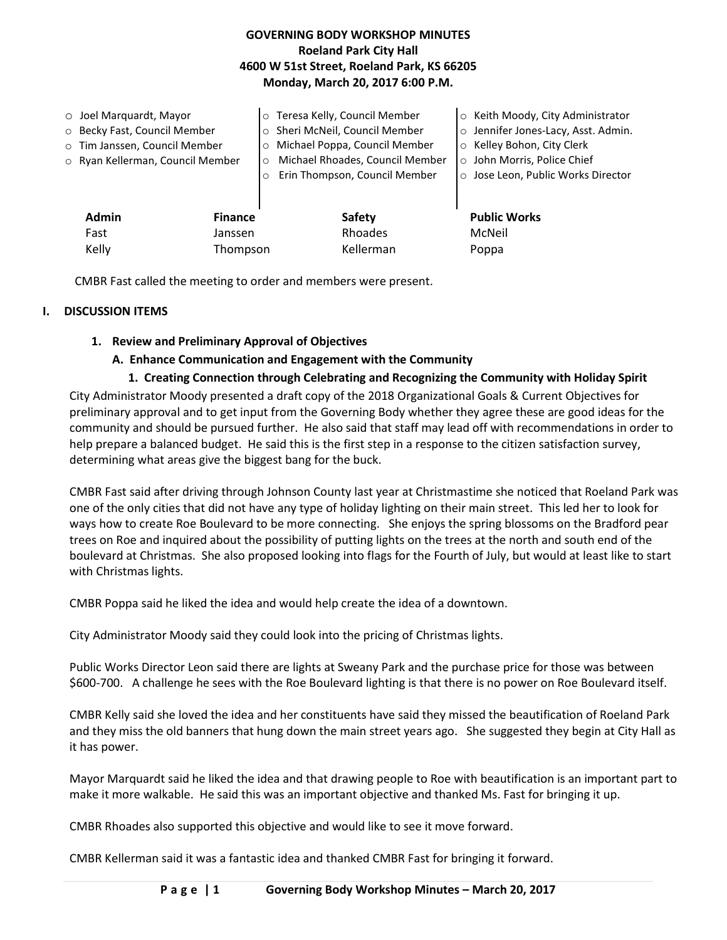## **GOVERNING BODY WORKSHOP MINUTES Roeland Park City Hall 4600 W 51st Street, Roeland Park, KS 66205 Monday, March 20, 2017 6:00 P.M.**

|       | $\circ$ Joel Marquardt, Mayor    |                | o Teresa Kelly, Council Member             | ○ Keith Moody, City Administrator   |
|-------|----------------------------------|----------------|--------------------------------------------|-------------------------------------|
|       | o Becky Fast, Council Member     |                | Sheri McNeil, Council Member               | o Jennifer Jones-Lacy, Asst. Admin. |
|       | o Tim Janssen, Council Member    |                | Michael Poppa, Council Member<br>$\Omega$  | ○ Kelley Bohon, City Clerk          |
|       | o Ryan Kellerman, Council Member |                | Michael Rhoades, Council Member<br>$\circ$ | o John Morris, Police Chief         |
|       |                                  |                | Erin Thompson, Council Member              | o Jose Leon, Public Works Director  |
|       | <b>Admin</b>                     | <b>Finance</b> | Safety                                     | <b>Public Works</b>                 |
|       | Fast                             | Janssen        | Rhoades                                    | McNeil                              |
| Kelly |                                  | Thompson       | Kellerman                                  | Poppa                               |

CMBR Fast called the meeting to order and members were present.

## **I. DISCUSSION ITEMS**

## **1. Review and Preliminary Approval of Objectives**

## **A. Enhance Communication and Engagement with the Community**

## **1. Creating Connection through Celebrating and Recognizing the Community with Holiday Spirit**

City Administrator Moody presented a draft copy of the 2018 Organizational Goals & Current Objectives for preliminary approval and to get input from the Governing Body whether they agree these are good ideas for the community and should be pursued further. He also said that staff may lead off with recommendations in order to help prepare a balanced budget. He said this is the first step in a response to the citizen satisfaction survey, determining what areas give the biggest bang for the buck.

CMBR Fast said after driving through Johnson County last year at Christmastime she noticed that Roeland Park was one of the only cities that did not have any type of holiday lighting on their main street. This led her to look for ways how to create Roe Boulevard to be more connecting. She enjoys the spring blossoms on the Bradford pear trees on Roe and inquired about the possibility of putting lights on the trees at the north and south end of the boulevard at Christmas. She also proposed looking into flags for the Fourth of July, but would at least like to start with Christmas lights.

CMBR Poppa said he liked the idea and would help create the idea of a downtown.

City Administrator Moody said they could look into the pricing of Christmas lights.

Public Works Director Leon said there are lights at Sweany Park and the purchase price for those was between \$600-700. A challenge he sees with the Roe Boulevard lighting is that there is no power on Roe Boulevard itself.

CMBR Kelly said she loved the idea and her constituents have said they missed the beautification of Roeland Park and they miss the old banners that hung down the main street years ago. She suggested they begin at City Hall as it has power.

Mayor Marquardt said he liked the idea and that drawing people to Roe with beautification is an important part to make it more walkable. He said this was an important objective and thanked Ms. Fast for bringing it up.

CMBR Rhoades also supported this objective and would like to see it move forward.

CMBR Kellerman said it was a fantastic idea and thanked CMBR Fast for bringing it forward.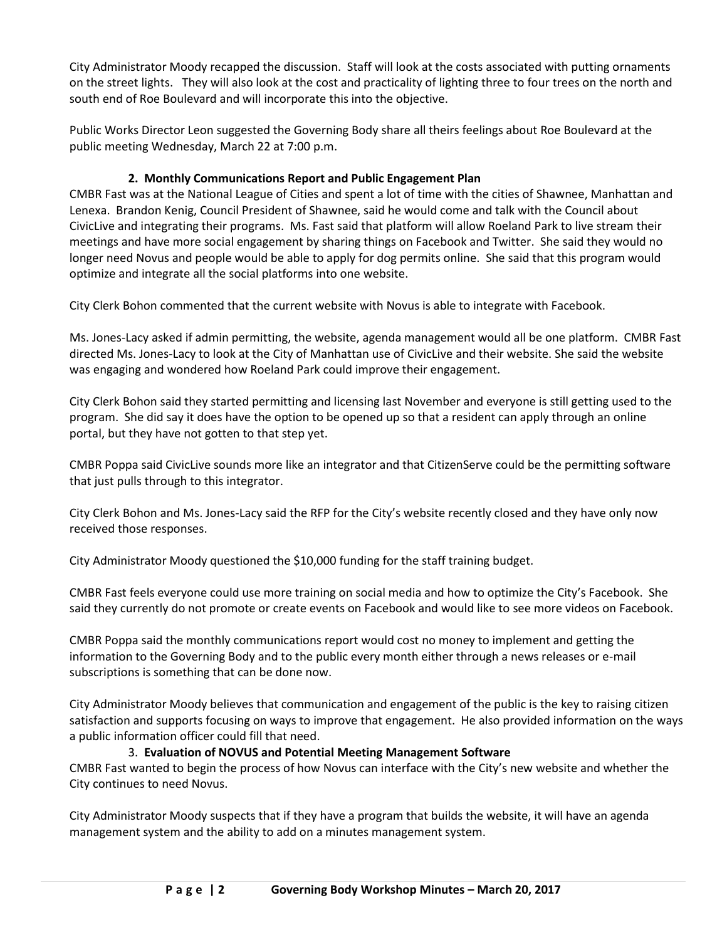City Administrator Moody recapped the discussion. Staff will look at the costs associated with putting ornaments on the street lights. They will also look at the cost and practicality of lighting three to four trees on the north and south end of Roe Boulevard and will incorporate this into the objective.

Public Works Director Leon suggested the Governing Body share all theirs feelings about Roe Boulevard at the public meeting Wednesday, March 22 at 7:00 p.m.

# **2. Monthly Communications Report and Public Engagement Plan**

CMBR Fast was at the National League of Cities and spent a lot of time with the cities of Shawnee, Manhattan and Lenexa. Brandon Kenig, Council President of Shawnee, said he would come and talk with the Council about CivicLive and integrating their programs. Ms. Fast said that platform will allow Roeland Park to live stream their meetings and have more social engagement by sharing things on Facebook and Twitter. She said they would no longer need Novus and people would be able to apply for dog permits online. She said that this program would optimize and integrate all the social platforms into one website.

City Clerk Bohon commented that the current website with Novus is able to integrate with Facebook.

Ms. Jones-Lacy asked if admin permitting, the website, agenda management would all be one platform. CMBR Fast directed Ms. Jones-Lacy to look at the City of Manhattan use of CivicLive and their website. She said the website was engaging and wondered how Roeland Park could improve their engagement.

City Clerk Bohon said they started permitting and licensing last November and everyone is still getting used to the program. She did say it does have the option to be opened up so that a resident can apply through an online portal, but they have not gotten to that step yet.

CMBR Poppa said CivicLive sounds more like an integrator and that CitizenServe could be the permitting software that just pulls through to this integrator.

City Clerk Bohon and Ms. Jones-Lacy said the RFP for the City's website recently closed and they have only now received those responses.

City Administrator Moody questioned the \$10,000 funding for the staff training budget.

CMBR Fast feels everyone could use more training on social media and how to optimize the City's Facebook. She said they currently do not promote or create events on Facebook and would like to see more videos on Facebook.

CMBR Poppa said the monthly communications report would cost no money to implement and getting the information to the Governing Body and to the public every month either through a news releases or e-mail subscriptions is something that can be done now.

City Administrator Moody believes that communication and engagement of the public is the key to raising citizen satisfaction and supports focusing on ways to improve that engagement. He also provided information on the ways a public information officer could fill that need.

## 3. **Evaluation of NOVUS and Potential Meeting Management Software**

CMBR Fast wanted to begin the process of how Novus can interface with the City's new website and whether the City continues to need Novus.

City Administrator Moody suspects that if they have a program that builds the website, it will have an agenda management system and the ability to add on a minutes management system.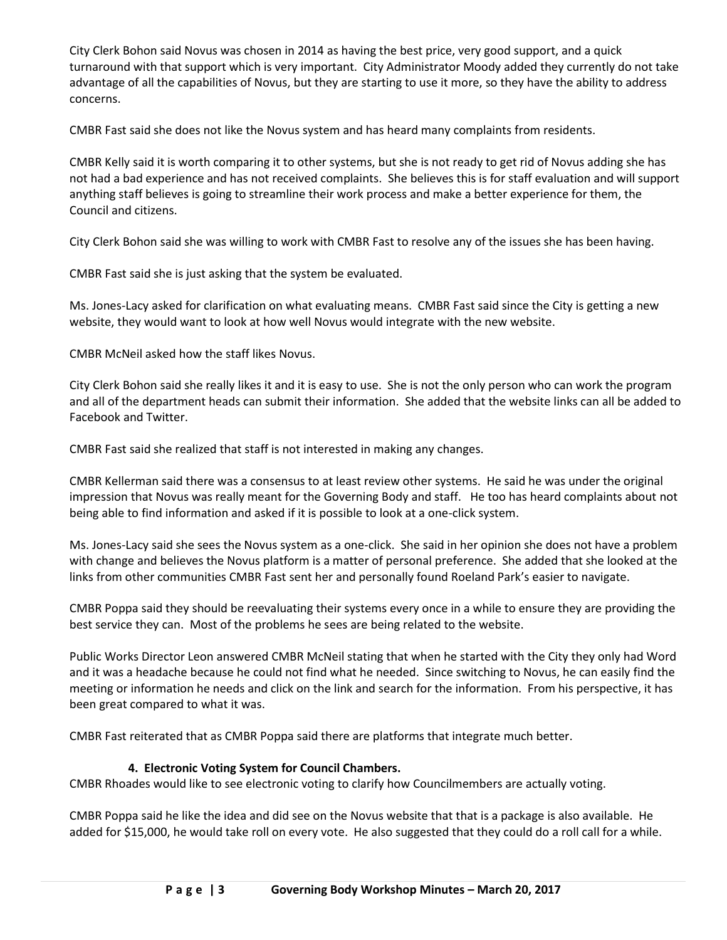City Clerk Bohon said Novus was chosen in 2014 as having the best price, very good support, and a quick turnaround with that support which is very important. City Administrator Moody added they currently do not take advantage of all the capabilities of Novus, but they are starting to use it more, so they have the ability to address concerns.

CMBR Fast said she does not like the Novus system and has heard many complaints from residents.

CMBR Kelly said it is worth comparing it to other systems, but she is not ready to get rid of Novus adding she has not had a bad experience and has not received complaints. She believes this is for staff evaluation and will support anything staff believes is going to streamline their work process and make a better experience for them, the Council and citizens.

City Clerk Bohon said she was willing to work with CMBR Fast to resolve any of the issues she has been having.

CMBR Fast said she is just asking that the system be evaluated.

Ms. Jones-Lacy asked for clarification on what evaluating means. CMBR Fast said since the City is getting a new website, they would want to look at how well Novus would integrate with the new website.

CMBR McNeil asked how the staff likes Novus.

City Clerk Bohon said she really likes it and it is easy to use. She is not the only person who can work the program and all of the department heads can submit their information. She added that the website links can all be added to Facebook and Twitter.

CMBR Fast said she realized that staff is not interested in making any changes.

CMBR Kellerman said there was a consensus to at least review other systems. He said he was under the original impression that Novus was really meant for the Governing Body and staff. He too has heard complaints about not being able to find information and asked if it is possible to look at a one-click system.

Ms. Jones-Lacy said she sees the Novus system as a one-click. She said in her opinion she does not have a problem with change and believes the Novus platform is a matter of personal preference. She added that she looked at the links from other communities CMBR Fast sent her and personally found Roeland Park's easier to navigate.

CMBR Poppa said they should be reevaluating their systems every once in a while to ensure they are providing the best service they can. Most of the problems he sees are being related to the website.

Public Works Director Leon answered CMBR McNeil stating that when he started with the City they only had Word and it was a headache because he could not find what he needed. Since switching to Novus, he can easily find the meeting or information he needs and click on the link and search for the information. From his perspective, it has been great compared to what it was.

CMBR Fast reiterated that as CMBR Poppa said there are platforms that integrate much better.

## **4. Electronic Voting System for Council Chambers.**

CMBR Rhoades would like to see electronic voting to clarify how Councilmembers are actually voting.

CMBR Poppa said he like the idea and did see on the Novus website that that is a package is also available. He added for \$15,000, he would take roll on every vote. He also suggested that they could do a roll call for a while.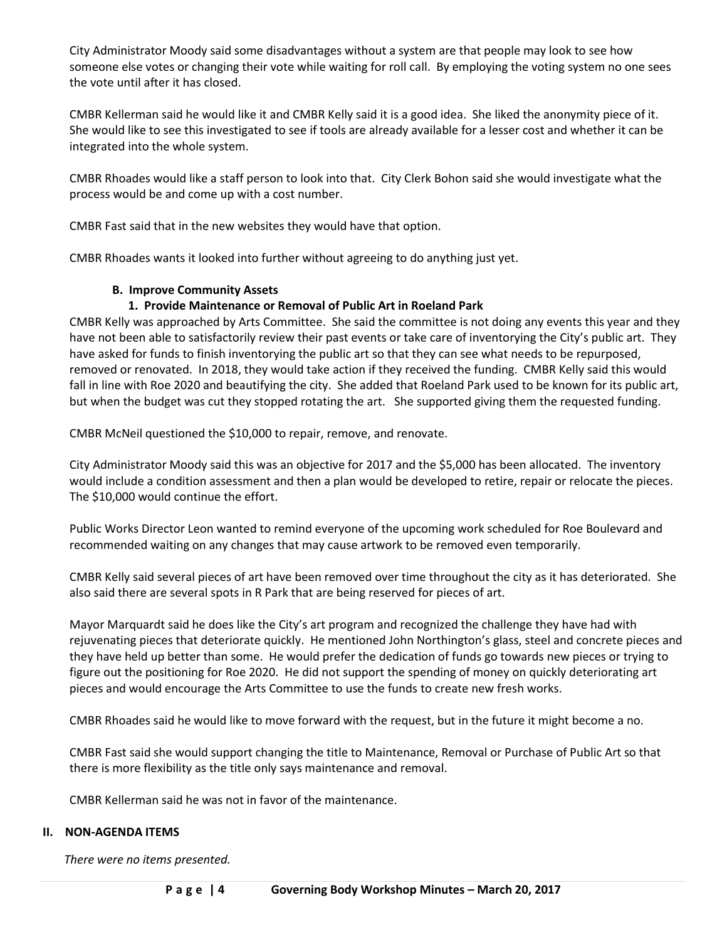City Administrator Moody said some disadvantages without a system are that people may look to see how someone else votes or changing their vote while waiting for roll call. By employing the voting system no one sees the vote until after it has closed.

CMBR Kellerman said he would like it and CMBR Kelly said it is a good idea. She liked the anonymity piece of it. She would like to see this investigated to see if tools are already available for a lesser cost and whether it can be integrated into the whole system.

CMBR Rhoades would like a staff person to look into that. City Clerk Bohon said she would investigate what the process would be and come up with a cost number.

CMBR Fast said that in the new websites they would have that option.

CMBR Rhoades wants it looked into further without agreeing to do anything just yet.

## **B. Improve Community Assets**

## **1. Provide Maintenance or Removal of Public Art in Roeland Park**

CMBR Kelly was approached by Arts Committee. She said the committee is not doing any events this year and they have not been able to satisfactorily review their past events or take care of inventorying the City's public art. They have asked for funds to finish inventorying the public art so that they can see what needs to be repurposed, removed or renovated. In 2018, they would take action if they received the funding. CMBR Kelly said this would fall in line with Roe 2020 and beautifying the city. She added that Roeland Park used to be known for its public art, but when the budget was cut they stopped rotating the art. She supported giving them the requested funding.

CMBR McNeil questioned the \$10,000 to repair, remove, and renovate.

City Administrator Moody said this was an objective for 2017 and the \$5,000 has been allocated. The inventory would include a condition assessment and then a plan would be developed to retire, repair or relocate the pieces. The \$10,000 would continue the effort.

Public Works Director Leon wanted to remind everyone of the upcoming work scheduled for Roe Boulevard and recommended waiting on any changes that may cause artwork to be removed even temporarily.

CMBR Kelly said several pieces of art have been removed over time throughout the city as it has deteriorated. She also said there are several spots in R Park that are being reserved for pieces of art.

Mayor Marquardt said he does like the City's art program and recognized the challenge they have had with rejuvenating pieces that deteriorate quickly. He mentioned John Northington's glass, steel and concrete pieces and they have held up better than some. He would prefer the dedication of funds go towards new pieces or trying to figure out the positioning for Roe 2020. He did not support the spending of money on quickly deteriorating art pieces and would encourage the Arts Committee to use the funds to create new fresh works.

CMBR Rhoades said he would like to move forward with the request, but in the future it might become a no.

CMBR Fast said she would support changing the title to Maintenance, Removal or Purchase of Public Art so that there is more flexibility as the title only says maintenance and removal.

CMBR Kellerman said he was not in favor of the maintenance.

#### **II. NON-AGENDA ITEMS**

*There were no items presented.*